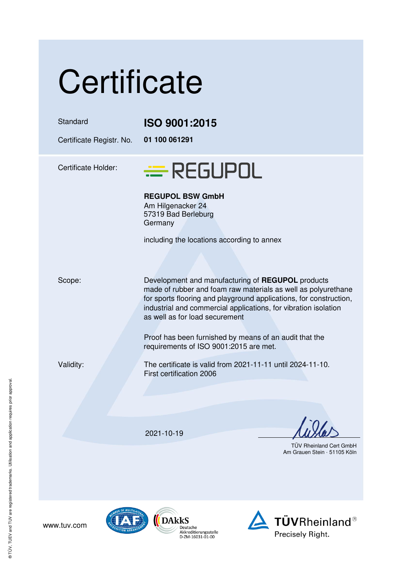| Certificate                          |                                                                                                                                                                                                                                                                                               |
|--------------------------------------|-----------------------------------------------------------------------------------------------------------------------------------------------------------------------------------------------------------------------------------------------------------------------------------------------|
| Standard<br>Certificate Registr. No. | ISO 9001:2015<br>01 100 061291                                                                                                                                                                                                                                                                |
| <b>Certificate Holder:</b>           | $\equiv$ REGUPOL                                                                                                                                                                                                                                                                              |
|                                      | <b>REGUPOL BSW GmbH</b><br>Am Hilgenacker 24<br>57319 Bad Berleburg<br>Germany                                                                                                                                                                                                                |
|                                      | including the locations according to annex                                                                                                                                                                                                                                                    |
| Scope:                               | Development and manufacturing of REGUPOL products<br>made of rubber and foam raw materials as well as polyurethane<br>for sports flooring and playground applications, for construction,<br>industrial and commercial applications, for vibration isolation<br>as well as for load securement |
|                                      | Proof has been furnished by means of an audit that the<br>requirements of ISO 9001:2015 are met.                                                                                                                                                                                              |
| Validity:                            | The certificate is valid from 2021-11-11 until 2024-11-10.<br>First certification 2006                                                                                                                                                                                                        |
|                                      |                                                                                                                                                                                                                                                                                               |
|                                      | 2021-10-19                                                                                                                                                                                                                                                                                    |
|                                      | <b>TÜV Rheinland Cert Gmbl</b><br>Am Grauen Stein · 51105 Köl                                                                                                                                                                                                                                 |

V Rheinland Cert GmbH auen Stein · 51105 Köln

www.tuv.com



Deutsche<br>Akkreditierungsstelle<br>D-ZM-16031-01-00